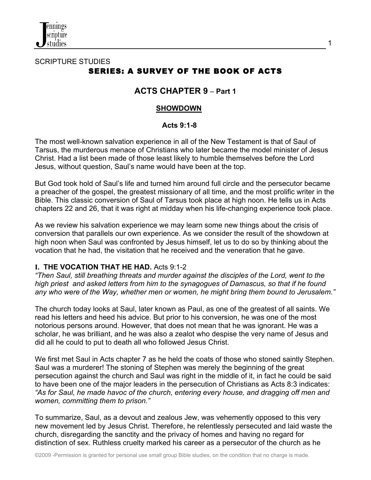

## SCRIPTURE STUDIES SERIES: A SURVEY OF THE BOOK OF ACTS

# **ACTS CHAPTER 9** – **Part 1**

#### **SHOWDOWN**

#### **Acts 9:1-8**

The most well-known salvation experience in all of the New Testament is that of Saul of Tarsus, the murderous menace of Christians who later became the model minister of Jesus Christ. Had a list been made of those least likely to humble themselves before the Lord Jesus, without question, Saul's name would have been at the top.

But God took hold of Saul's life and turned him around full circle and the persecutor became a preacher of the gospel, the greatest missionary of all time, and the most prolific writer in the Bible. This classic conversion of Saul of Tarsus took place at high noon. He tells us in Acts chapters 22 and 26, that it was right at midday when his life-changing experience took place.

As we review his salvation experience we may learn some new things about the crisis of conversion that parallels our own experience. As we consider the result of the showdown at high noon when Saul was confronted by Jesus himself, let us to do so by thinking about the vocation that he had, the visitation that he received and the veneration that he gave.

#### **I. THE VOCATION THAT HE HAD.** Acts 9:1-2

*"Then Saul, still breathing threats and murder against the disciples of the Lord, went to the high priest and asked letters from him to the synagogues of Damascus, so that if he found any who were of the Way, whether men or women, he might bring them bound to Jerusalem."* 

The church today looks at Saul, later known as Paul, as one of the greatest of all saints. We read his letters and heed his advice. But prior to his conversion, he was one of the most notorious persons around. However, that does not mean that he was ignorant. He was a scholar, he was brilliant, and he was also a zealot who despise the very name of Jesus and did all he could to put to death all who followed Jesus Christ.

We first met Saul in Acts chapter 7 as he held the coats of those who stoned saintly Stephen. Saul was a murderer! The stoning of Stephen was merely the beginning of the great persecution against the church and Saul was right in the middle of it, in fact he could be said to have been one of the major leaders in the persecution of Christians as Acts 8:3 indicates: *"As for Saul, he made havoc of the church, entering every house, and dragging off men and women, committing them to prison."* 

To summarize, Saul, as a devout and zealous Jew, was vehemently opposed to this very new movement led by Jesus Christ. Therefore, he relentlessly persecuted and laid waste the church, disregarding the sanctity and the privacy of homes and having no regard for distinction of sex. Ruthless cruelty marked his career as a persecutor of the church as he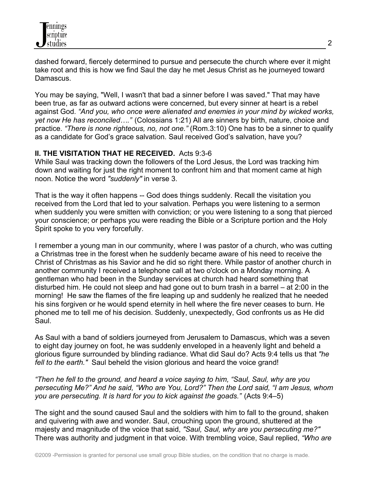dashed forward, fiercely determined to pursue and persecute the church where ever it might take root and this is how we find Saul the day he met Jesus Christ as he journeyed toward Damascus.

You may be saying, "Well, I wasn't that bad a sinner before I was saved." That may have been true, as far as outward actions were concerned, but every sinner at heart is a rebel against God. *"And you, who once were alienated and enemies in your mind by wicked works, yet now He has reconciled…."* (Colossians 1:21) All are sinners by birth, nature, choice and practice. *"There is none righteous, no, not one."* (Rom.3:10) One has to be a sinner to qualify as a candidate for God's grace salvation. Saul received God's salvation, have you?

### **II. THE VISITATION THAT HE RECEIVED.** Acts 9:3-6

While Saul was tracking down the followers of the Lord Jesus, the Lord was tracking him down and waiting for just the right moment to confront him and that moment came at high noon. Notice the word *"suddenly"* in verse 3.

That is the way it often happens -- God does things suddenly. Recall the visitation you received from the Lord that led to your salvation. Perhaps you were listening to a sermon when suddenly you were smitten with conviction; or you were listening to a song that pierced your conscience; or perhaps you were reading the Bible or a Scripture portion and the Holy Spirit spoke to you very forcefully.

I remember a young man in our community, where I was pastor of a church, who was cutting a Christmas tree in the forest when he suddenly became aware of his need to receive the Christ of Christmas as his Savior and he did so right there. While pastor of another church in another community I received a telephone call at two o'clock on a Monday morning. A gentleman who had been in the Sunday services at church had heard something that disturbed him. He could not sleep and had gone out to burn trash in a barrel – at 2:00 in the morning! He saw the flames of the fire leaping up and suddenly he realized that he needed his sins forgiven or he would spend eternity in hell where the fire never ceases to burn. He phoned me to tell me of his decision. Suddenly, unexpectedly, God confronts us as He did Saul.

As Saul with a band of soldiers journeyed from Jerusalem to Damascus, which was a seven to eight day journey on foot, he was suddenly enveloped in a heavenly light and beheld a glorious figure surrounded by blinding radiance. What did Saul do? Acts 9:4 tells us that *"he fell to the earth."* Saul beheld the vision glorious and heard the voice grand!

*"Then he fell to the ground, and heard a voice saying to him, "Saul, Saul, why are you persecuting Me?" And he said, "Who are You, Lord?" Then the Lord said, "I am Jesus, whom you are persecuting. It is hard for you to kick against the goads."* (Acts 9:4–5)

The sight and the sound caused Saul and the soldiers with him to fall to the ground, shaken and quivering with awe and wonder. Saul, crouching upon the ground, shuttered at the majesty and magnitude of the voice that said, *"Saul, Saul, why are you persecuting me?"* There was authority and judgment in that voice. With trembling voice, Saul replied, *"Who are*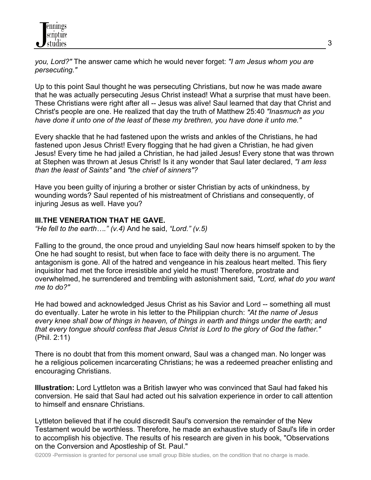*you, Lord?"* The answer came which he would never forget: *"I am Jesus whom you are persecuting."*

Up to this point Saul thought he was persecuting Christians, but now he was made aware that he was actually persecuting Jesus Christ instead! What a surprise that must have been. These Christians were right after all -- Jesus was alive! Saul learned that day that Christ and Christ's people are one. He realized that day the truth of Matthew 25:40 *"Inasmuch as you have done it unto one of the least of these my brethren, you have done it unto me."*

Every shackle that he had fastened upon the wrists and ankles of the Christians, he had fastened upon Jesus Christ! Every flogging that he had given a Christian, he had given Jesus! Every time he had jailed a Christian, he had jailed Jesus! Every stone that was thrown at Stephen was thrown at Jesus Christ! Is it any wonder that Saul later declared, *"I am less than the least of Saints"* and *"the chief of sinners"?*

Have you been guilty of injuring a brother or sister Christian by acts of unkindness, by wounding words? Saul repented of his mistreatment of Christians and consequently, of injuring Jesus as well. Have you?

### **III.THE VENERATION THAT HE GAVE.**

*"He fell to the earth…." (v.4)* And he said, *"Lord." (v.5)*

Falling to the ground, the once proud and unyielding Saul now hears himself spoken to by the One he had sought to resist, but when face to face with deity there is no argument. The antagonism is gone. All of the hatred and vengeance in his zealous heart melted. This fiery inquisitor had met the force irresistible and yield he must! Therefore, prostrate and overwhelmed, he surrendered and trembling with astonishment said, *"Lord, what do you want me to do?"*

He had bowed and acknowledged Jesus Christ as his Savior and Lord -- something all must do eventually. Later he wrote in his letter to the Philippian church: *"At the name of Jesus every knee shall bow of things in heaven, of things in earth and things under the earth; and that every tongue should confess that Jesus Christ is Lord to the glory of God the father."* (Phil. 2:11)

There is no doubt that from this moment onward, Saul was a changed man. No longer was he a religious policemen incarcerating Christians; he was a redeemed preacher enlisting and encouraging Christians.

**Illustration:** Lord Lyttleton was a British lawyer who was convinced that Saul had faked his conversion. He said that Saul had acted out his salvation experience in order to call attention to himself and ensnare Christians.

Lyttleton believed that if he could discredit Saul's conversion the remainder of the New Testament would be worthless. Therefore, he made an exhaustive study of Saul's life in order to accomplish his objective. The results of his research are given in his book, "Observations on the Conversion and Apostleship of St. Paul."

©2009 -Permission is granted for personal use small group Bible studies, on the condition that no charge is made.